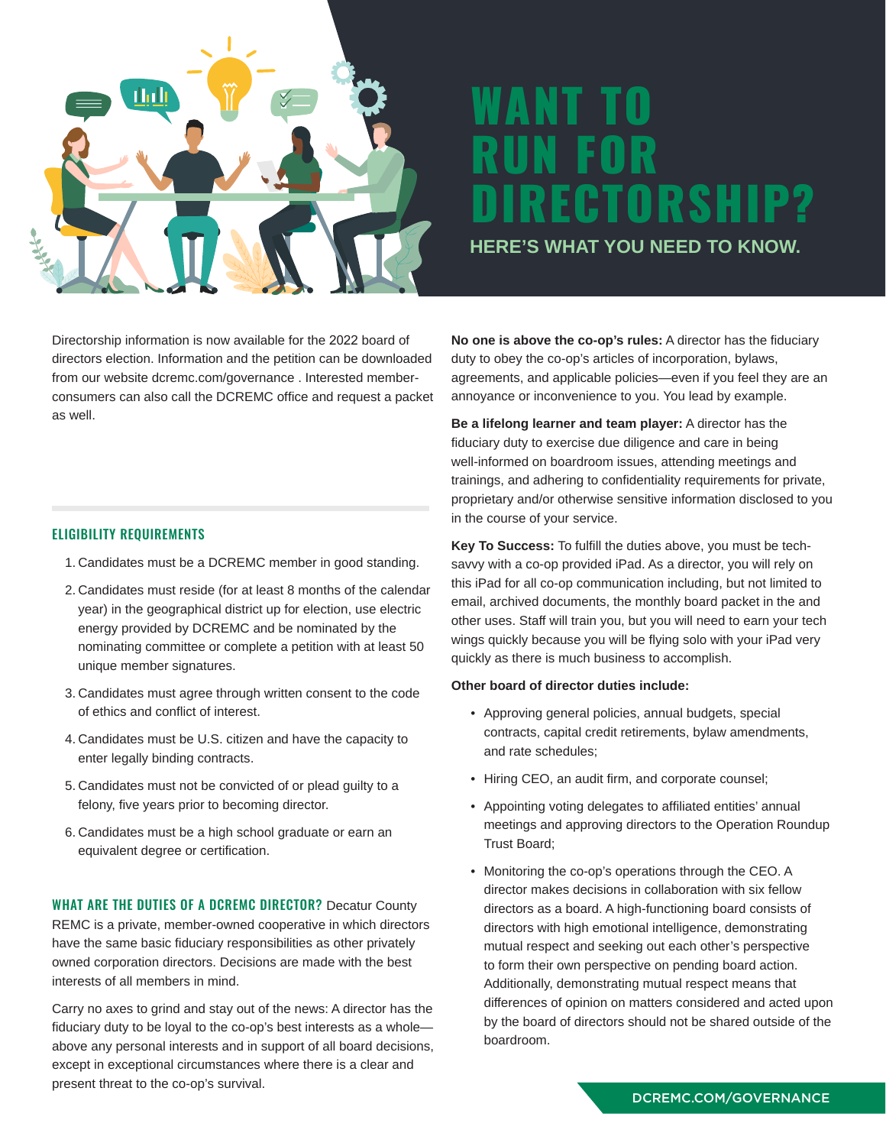

# WANT TO RUN FOR DIRECTORSHIP? **HERE'S WHAT YOU NEED TO KNOW.**

Directorship information is now available for the 2022 board of directors election. Information and the petition can be downloaded from our website dcremc.com/governance . Interested memberconsumers can also call the DCREMC office and request a packet as well.

### ELIGIBILITY REQUIREMENTS

- 1. Candidates must be a DCREMC member in good standing.
- 2. Candidates must reside (for at least 8 months of the calendar year) in the geographical district up for election, use electric energy provided by DCREMC and be nominated by the nominating committee or complete a petition with at least 50 unique member signatures.
- 3. Candidates must agree through written consent to the code of ethics and conflict of interest.
- 4. Candidates must be U.S. citizen and have the capacity to enter legally binding contracts.
- 5. Candidates must not be convicted of or plead guilty to a felony, five years prior to becoming director.
- 6. Candidates must be a high school graduate or earn an equivalent degree or certification.

WHAT ARE THE DUTIES OF A DCREMC DIRECTOR? Decatur County REMC is a private, member-owned cooperative in which directors have the same basic fiduciary responsibilities as other privately owned corporation directors. Decisions are made with the best interests of all members in mind.

Carry no axes to grind and stay out of the news: A director has the fiduciary duty to be loyal to the co-op's best interests as a whole above any personal interests and in support of all board decisions, except in exceptional circumstances where there is a clear and present threat to the co-op's survival.

**No one is above the co-op's rules:** A director has the fiduciary duty to obey the co-op's articles of incorporation, bylaws, agreements, and applicable policies—even if you feel they are an annoyance or inconvenience to you. You lead by example.

**Be a lifelong learner and team player:** A director has the fiduciary duty to exercise due diligence and care in being well-informed on boardroom issues, attending meetings and trainings, and adhering to confidentiality requirements for private, proprietary and/or otherwise sensitive information disclosed to you in the course of your service.

**Key To Success:** To fulfill the duties above, you must be techsavvy with a co-op provided iPad. As a director, you will rely on this iPad for all co-op communication including, but not limited to email, archived documents, the monthly board packet in the and other uses. Staff will train you, but you will need to earn your tech wings quickly because you will be flying solo with your iPad very quickly as there is much business to accomplish.

### **Other board of director duties include:**

- Approving general policies, annual budgets, special contracts, capital credit retirements, bylaw amendments, and rate schedules;
- Hiring CEO, an audit firm, and corporate counsel;
- Appointing voting delegates to affiliated entities' annual meetings and approving directors to the Operation Roundup Trust Board;
- Monitoring the co-op's operations through the CEO. A director makes decisions in collaboration with six fellow directors as a board. A high-functioning board consists of directors with high emotional intelligence, demonstrating mutual respect and seeking out each other's perspective to form their own perspective on pending board action. Additionally, demonstrating mutual respect means that differences of opinion on matters considered and acted upon by the board of directors should not be shared outside of the boardroom.